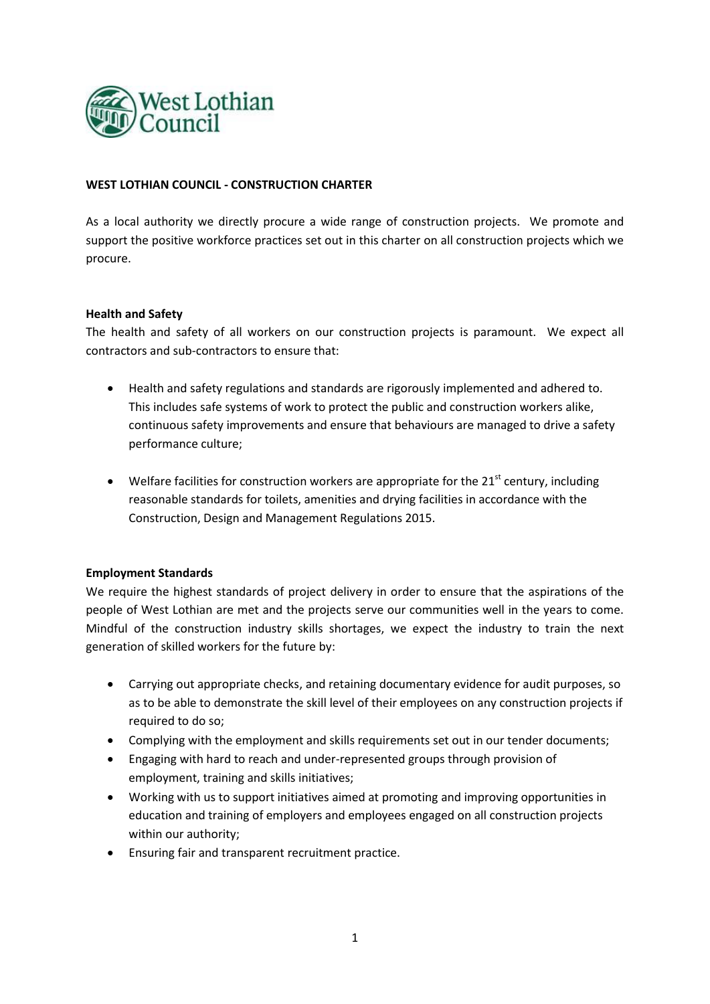

# **WEST LOTHIAN COUNCIL - CONSTRUCTION CHARTER**

As a local authority we directly procure a wide range of construction projects. We promote and support the positive workforce practices set out in this charter on all construction projects which we procure.

## **Health and Safety**

The health and safety of all workers on our construction projects is paramount. We expect all contractors and sub-contractors to ensure that:

- Health and safety regulations and standards are rigorously implemented and adhered to. This includes safe systems of work to protect the public and construction workers alike, continuous safety improvements and ensure that behaviours are managed to drive a safety performance culture;
- $\bullet$  Welfare facilities for construction workers are appropriate for the 21<sup>st</sup> century, including reasonable standards for toilets, amenities and drying facilities in accordance with the Construction, Design and Management Regulations 2015.

## **Employment Standards**

We require the highest standards of project delivery in order to ensure that the aspirations of the people of West Lothian are met and the projects serve our communities well in the years to come. Mindful of the construction industry skills shortages, we expect the industry to train the next generation of skilled workers for the future by:

- Carrying out appropriate checks, and retaining documentary evidence for audit purposes, so as to be able to demonstrate the skill level of their employees on any construction projects if required to do so;
- Complying with the employment and skills requirements set out in our tender documents;
- Engaging with hard to reach and under-represented groups through provision of employment, training and skills initiatives;
- Working with us to support initiatives aimed at promoting and improving opportunities in education and training of employers and employees engaged on all construction projects within our authority;
- Ensuring fair and transparent recruitment practice.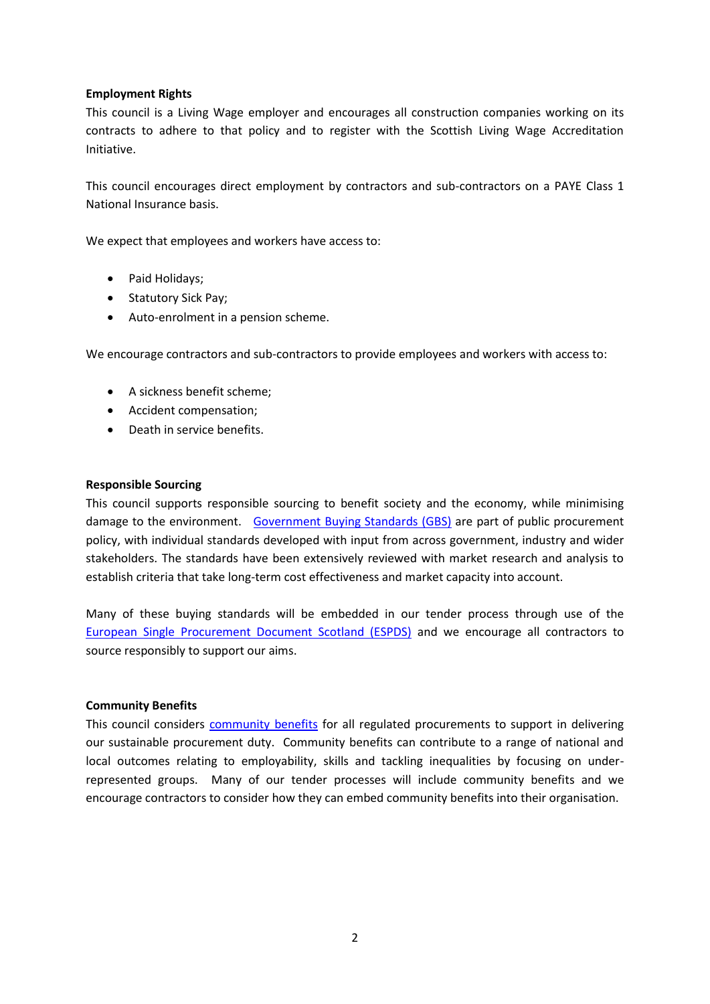# **Employment Rights**

This council is a Living Wage employer and encourages all construction companies working on its contracts to adhere to that policy and to register with the Scottish Living Wage Accreditation Initiative.

This council encourages direct employment by contractors and sub-contractors on a PAYE Class 1 National Insurance basis.

We expect that employees and workers have access to:

- Paid Holidays;
- Statutory Sick Pay;
- Auto-enrolment in a pension scheme.

We encourage contractors and sub-contractors to provide employees and workers with access to:

- A sickness benefit scheme;
- Accident compensation;
- Death in service benefits.

#### **Responsible Sourcing**

This council supports responsible sourcing to benefit society and the economy, while minimising damage to the environment. [Government Buying Standards \(GBS\)](https://www.gov.uk/government/collections/sustainable-procurement-the-government-buying-standards-gbs) are part of public procurement policy, with individual standards developed with input from across government, industry and wider stakeholders. The standards have been extensively reviewed with market research and analysis to establish criteria that take long-term cost effectiveness and market capacity into account.

Many of these buying standards will be embedded in our tender process through use of the [European Single Procurement Document Scotland \(ESPDS\)](https://www.supplierjourney.scot/european-single-procurement-document-espd) and we encourage all contractors to source responsibly to support our aims.

## **Community Benefits**

This council considers [community benefits](https://www.gov.scot/policies/public-sector-procurement/community-benefits-in-procurement/) for all regulated procurements to support in delivering our sustainable procurement duty. Community benefits can contribute to a range of national and local outcomes relating to employability, skills and tackling inequalities by focusing on underrepresented groups. Many of our tender processes will include community benefits and we encourage contractors to consider how they can embed community benefits into their organisation.